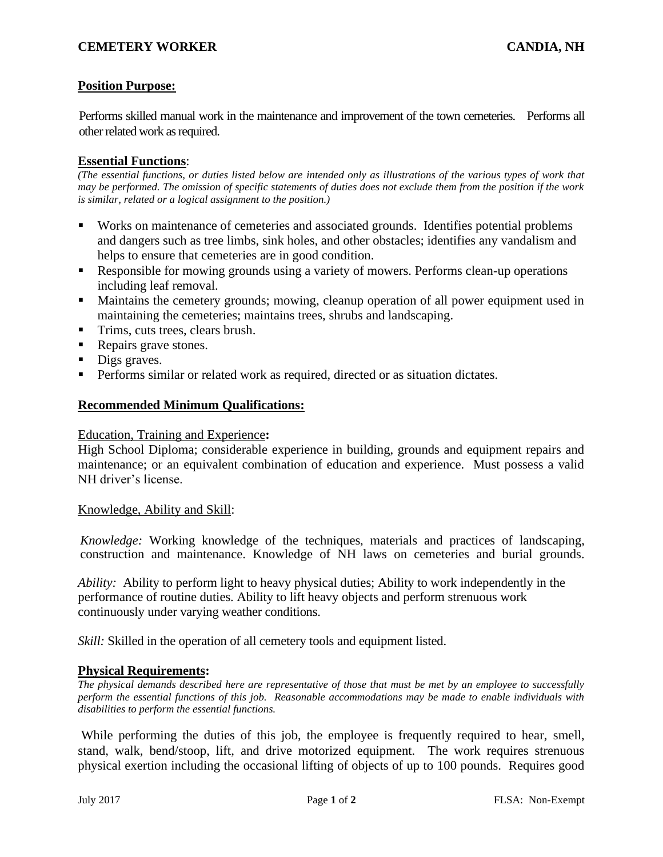# **CEMETERY WORKER CANDIA, NH**

# **Position Purpose:**

Performs skilled manual work in the maintenance and improvement of the town cemeteries. Performs all other related work as required.

#### **Essential Functions**:

*(The essential functions, or duties listed below are intended only as illustrations of the various types of work that may be performed. The omission of specific statements of duties does not exclude them from the position if the work is similar, related or a logical assignment to the position.)*

- Works on maintenance of cemeteries and associated grounds. Identifies potential problems and dangers such as tree limbs, sink holes, and other obstacles; identifies any vandalism and helps to ensure that cemeteries are in good condition.
- Responsible for mowing grounds using a variety of mowers. Performs clean-up operations including leaf removal.
- Maintains the cemetery grounds; mowing, cleanup operation of all power equipment used in maintaining the cemeteries; maintains trees, shrubs and landscaping.
- Trims, cuts trees, clears brush.
- Repairs grave stones.
- Digs graves.
- **•** Performs similar or related work as required, directed or as situation dictates.

## **Recommended Minimum Qualifications:**

#### Education, Training and Experience**:**

High School Diploma; considerable experience in building, grounds and equipment repairs and maintenance; or an equivalent combination of education and experience. Must possess a valid NH driver's license.

#### Knowledge, Ability and Skill:

*Knowledge:* Working knowledge of the techniques, materials and practices of landscaping, construction and maintenance. Knowledge of NH laws on cemeteries and burial grounds.

*Ability:* Ability to perform light to heavy physical duties; Ability to work independently in the performance of routine duties. Ability to lift heavy objects and perform strenuous work continuously under varying weather conditions.

*Skill:* Skilled in the operation of all cemetery tools and equipment listed.

#### **Physical Requirements:**

*The physical demands described here are representative of those that must be met by an employee to successfully perform the essential functions of this job. Reasonable accommodations may be made to enable individuals with disabilities to perform the essential functions.*

While performing the duties of this job, the employee is frequently required to hear, smell, stand, walk, bend/stoop, lift, and drive motorized equipment. The work requires strenuous physical exertion including the occasional lifting of objects of up to 100 pounds. Requires good